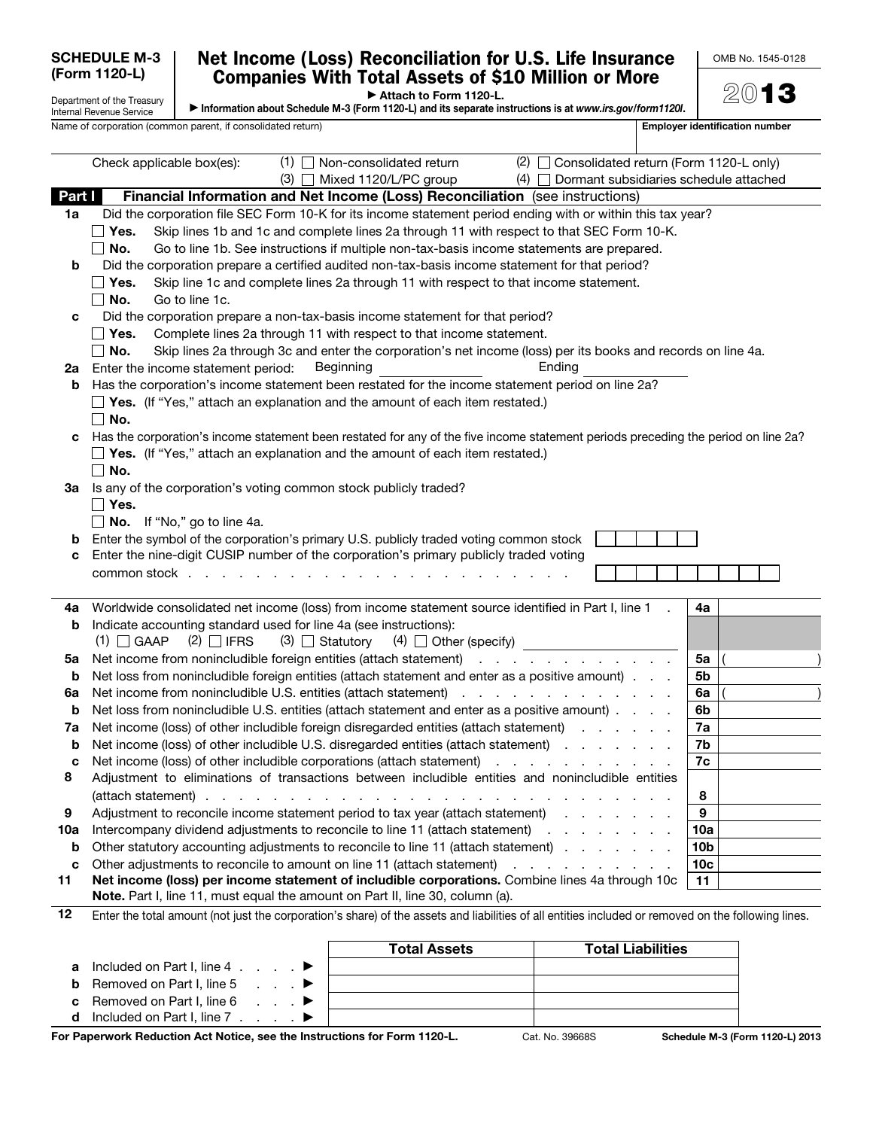## Net Income (Loss) Reconciliation for U.S. Life Insurance Companies With Total Assets of \$10 Million or More

OMB No. 1545-0128

▶ Attach to Form 1120-L.

Department of the Treasury Internal Revenue Service ▶ Information about Schedule M-3 (Form 1120-L) and its separate instructions is at *www.irs.gov/form1120l*. 2013 Name of corporation (common parent, if consolidated return) example and the set of the set of the set of the set of the set of the set of the set of the set of the set of the set of the set of the set of the set of the set Check applicable box(es): (1)  $\Box$  Non-consolidated return (2)  $\Box$  Consolidated return (Form 1120-L only) (3) Mixed 1120/L/PC group (4) Dormant subsidiaries schedule attached Part I Financial Information and Net Income (Loss) Reconciliation (see instructions) 1a Did the corporation file SEC Form 10-K for its income statement period ending with or within this tax year? **Yes.** Skip lines 1b and 1c and complete lines 2a through 11 with respect to that SEC Form 10-K.  $\Box$  No. Go to line 1b. See instructions if multiple non-tax-basis income statements are prepared. **b** Did the corporation prepare a certified audited non-tax-basis income statement for that period?  $\Box$  Yes. Skip line 1c and complete lines 2a through 11 with respect to that income statement.  $\Box$  **No.** Go to line 1c. c Did the corporation prepare a non-tax-basis income statement for that period?  $\Box$  Yes. Complete lines 2a through 11 with respect to that income statement.  $\Box$  No. Skip lines 2a through 3c and enter the corporation's net income (loss) per its books and records on line 4a. 2a Enter the income statement period: Beginning Theorem Bending Ending b Has the corporation's income statement been restated for the income statement period on line 2a?  $\Box$  Yes. (If "Yes," attach an explanation and the amount of each item restated.)  $\blacksquare$  No. c Has the corporation's income statement been restated for any of the five income statement periods preceding the period on line 2a?  $\Box$  Yes. (If "Yes," attach an explanation and the amount of each item restated.)  $\Box$  No. 3a Is any of the corporation's voting common stock publicly traded?  $\Box$  Yes.  $\Box$  No. If "No," go to line 4a. **b** Enter the symbol of the corporation's primary U.S. publicly traded voting common stock c Enter the nine-digit CUSIP number of the corporation's primary publicly traded voting common stock . . . . . . . . . . . . . . . . . . . . . . . 4a Worldwide consolidated net income (loss) from income statement source identified in Part I, line 1  $\,$ .  $\,$  4a **b** Indicate accounting standard used for line 4a (see instructions): (1)  $\Box$  GAAP (2)  $\Box$  IFRS (3)  $\Box$  Statutory (4)  $\Box$  Other (specify) 5a Net income from nonincludible foreign entities (attach statement) . . . . . . . . . . . . . 5a **b** Net loss from nonincludible foreign entities (attach statement and enter as a positive amount)  $\ldots$   $\phantom{a}$  5b 6a Net income from nonincludible U.S. entities (attach statement)  $\ldots$  . . . . . . . . . . . . . 6a **b** Net loss from nonincludible U.S. entities (attach statement and enter as a positive amount)  $\ldots$  .  $\phantom{a}$  6b 7a Net income (loss) of other includible foreign disregarded entities (attach statement) . . . . . . . 7a **b** Net income (loss) of other includible U.S. disregarded entities (attach statement) . . . . . . . . . 7b c Net income (loss) of other includible corporations (attach statement)  $\ldots$  . . . . . . . . . . . 7c 8 Adjustment to eliminations of transactions between includible entities and nonincludible entities (attach statement) . . . . . . . . . . . . . . . . . . . . . . . . . . . . 8 9 Adjustment to reconcile income statement period to tax year (attach statement) . . . . . . . . . 9 10a Intercompany dividend adjustments to reconcile to line 11 (attach statement) . . . . . . . . . 10a **b** Other statutory accounting adjustments to reconcile to line 11 (attach statement) . . . . . . . . 10b c Other adjustments to reconcile to amount on line 11 (attach statement) . . . . . . . . . . . . . 10c 11 Net income (loss) per income statement of includible corporations. Combine lines 4a through 10c Note. Part I, line 11, must equal the amount on Part II, line 30, column (a). 11 12 Enter the total amount (not just the corporation's share) of the assets and liabilities of all entities included or removed on the following lines. Total Assets **Total Liabilities** a Included on Part I, line  $4 \cdot 1$ . **b** Removed on Part I, line  $5 \ldots$ **c** Removed on Part I, line  $6 \ldots$ 

d Included on Part I, line  $7 \cdot \cdot \cdot \cdot \cdot$ For Paperwork Reduction Act Notice, see the Instructions for Form 1120-L. Cat. No. 39668S Schedule M-3 (Form 1120-L) 2013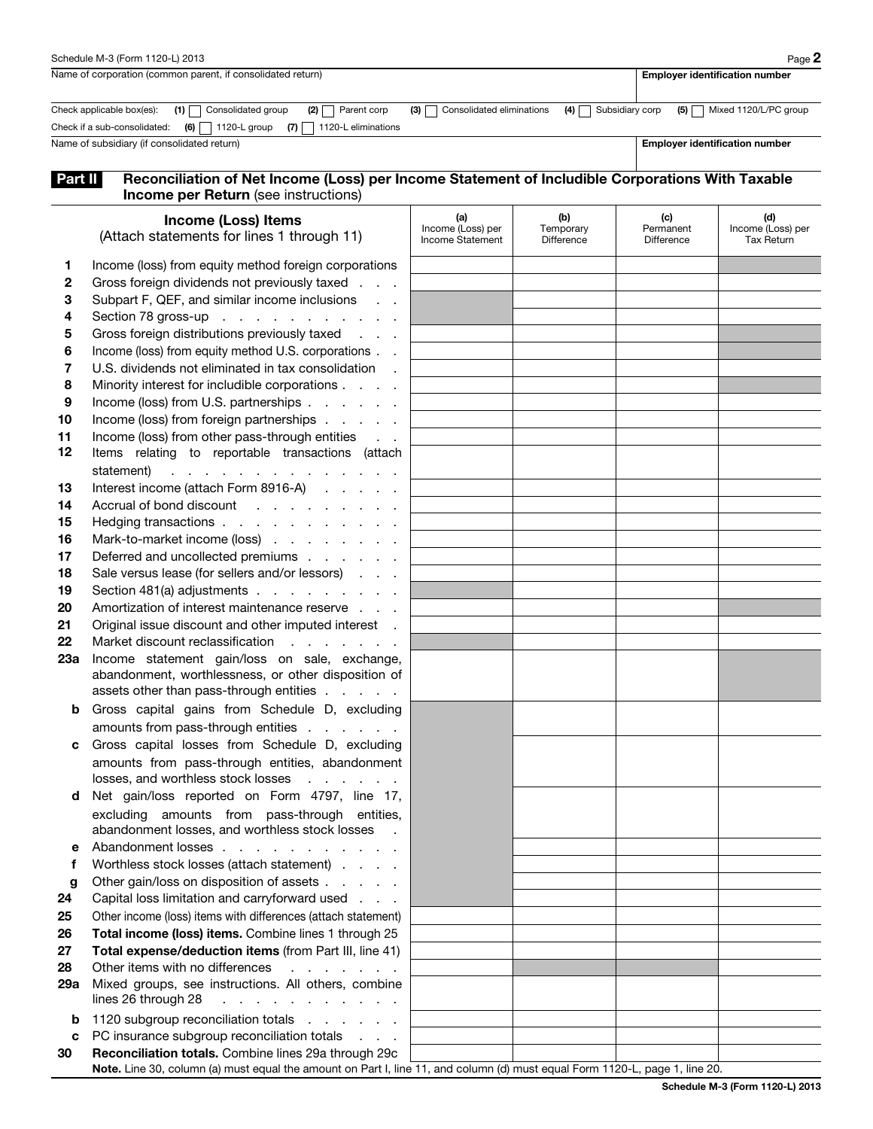|                                                                                                                                                     | Schedule M-3 (Form 1120-L) 2013                                                                                                                                                                                                                                                                                                                                                                                                                                                                                                                                                                                                                                                                                                                                                                                                                                                                                                                                                                                                                                                                                                                                                                                                                                                                                                                                                                                                                                                                                                                                                                                                                                              |                                              |                                       |                                       | Page 2                                        |  |  |
|-----------------------------------------------------------------------------------------------------------------------------------------------------|------------------------------------------------------------------------------------------------------------------------------------------------------------------------------------------------------------------------------------------------------------------------------------------------------------------------------------------------------------------------------------------------------------------------------------------------------------------------------------------------------------------------------------------------------------------------------------------------------------------------------------------------------------------------------------------------------------------------------------------------------------------------------------------------------------------------------------------------------------------------------------------------------------------------------------------------------------------------------------------------------------------------------------------------------------------------------------------------------------------------------------------------------------------------------------------------------------------------------------------------------------------------------------------------------------------------------------------------------------------------------------------------------------------------------------------------------------------------------------------------------------------------------------------------------------------------------------------------------------------------------------------------------------------------------|----------------------------------------------|---------------------------------------|---------------------------------------|-----------------------------------------------|--|--|
| Name of corporation (common parent, if consolidated return)                                                                                         |                                                                                                                                                                                                                                                                                                                                                                                                                                                                                                                                                                                                                                                                                                                                                                                                                                                                                                                                                                                                                                                                                                                                                                                                                                                                                                                                                                                                                                                                                                                                                                                                                                                                              |                                              |                                       |                                       | <b>Employer identification number</b>         |  |  |
|                                                                                                                                                     | $(2)$ Parent corp<br>$(1)$ Consolidated group<br>Check applicable box(es):<br>Check if a sub-consolidated: $(6)$ 1120-L group<br>1120-L eliminations<br>$(7)$                                                                                                                                                                                                                                                                                                                                                                                                                                                                                                                                                                                                                                                                                                                                                                                                                                                                                                                                                                                                                                                                                                                                                                                                                                                                                                                                                                                                                                                                                                                | Consolidated eliminations<br>(3)             | (4)<br>Subsidiary corp                | (5)                                   | Mixed 1120/L/PC group                         |  |  |
| Name of subsidiary (if consolidated return)                                                                                                         |                                                                                                                                                                                                                                                                                                                                                                                                                                                                                                                                                                                                                                                                                                                                                                                                                                                                                                                                                                                                                                                                                                                                                                                                                                                                                                                                                                                                                                                                                                                                                                                                                                                                              |                                              |                                       |                                       | <b>Employer identification number</b>         |  |  |
| Part II                                                                                                                                             | Reconciliation of Net Income (Loss) per Income Statement of Includible Corporations With Taxable<br><b>Income per Return</b> (see instructions)                                                                                                                                                                                                                                                                                                                                                                                                                                                                                                                                                                                                                                                                                                                                                                                                                                                                                                                                                                                                                                                                                                                                                                                                                                                                                                                                                                                                                                                                                                                              |                                              |                                       |                                       |                                               |  |  |
|                                                                                                                                                     | Income (Loss) Items<br>(Attach statements for lines 1 through 11)                                                                                                                                                                                                                                                                                                                                                                                                                                                                                                                                                                                                                                                                                                                                                                                                                                                                                                                                                                                                                                                                                                                                                                                                                                                                                                                                                                                                                                                                                                                                                                                                            | (a)<br>Income (Loss) per<br>Income Statement | (b)<br>Temporary<br><b>Difference</b> | (c)<br>Permanent<br><b>Difference</b> | (d)<br>Income (Loss) per<br><b>Tax Return</b> |  |  |
| 1<br>$\mathbf{2}$<br>3<br>4<br>5<br>6<br>7<br>8<br>9<br>10<br>11<br>12<br>13<br>14<br>15<br>16<br>17<br>18<br>19<br>20<br>21<br>22<br>23а<br>b<br>с | Income (loss) from equity method foreign corporations<br>Gross foreign dividends not previously taxed .<br>Subpart F, QEF, and similar income inclusions<br>Section 78 gross-up<br>Gross foreign distributions previously taxed<br>Income (loss) from equity method U.S. corporations<br>U.S. dividends not eliminated in tax consolidation<br>Minority interest for includible corporations<br>Income (loss) from U.S. partnerships<br>Income (loss) from foreign partnerships<br>Income (loss) from other pass-through entities<br>Items relating to reportable transactions (attach<br>statement)<br>a construction of the construction of the construction<br>Interest income (attach Form 8916-A)<br>Accrual of bond discount<br>and the contract of the<br>Hedging transactions<br>Mark-to-market income (loss)<br>Deferred and uncollected premiums<br>Sale versus lease (for sellers and/or lessors)<br>Section 481(a) adjustments<br>Amortization of interest maintenance reserve etc.<br>Original issue discount and other imputed interest .<br>Market discount reclassification<br>and the company of the company<br>Income statement gain/loss on sale, exchange,<br>abandonment, worthlessness, or other disposition of<br>assets other than pass-through entities<br>Gross capital gains from Schedule D, excluding<br>amounts from pass-through entities<br>Gross capital losses from Schedule D, excluding<br>amounts from pass-through entities, abandonment<br>losses, and worthless stock losses<br>d Net gain/loss reported on Form 4797, line 17,<br>excluding amounts from pass-through entities,<br>abandonment losses, and worthless stock losses . |                                              |                                       |                                       |                                               |  |  |
| е<br>f<br>g<br>24                                                                                                                                   | Abandonment losses<br>Worthless stock losses (attach statement)<br>Other gain/loss on disposition of assets<br>Capital loss limitation and carryforward used                                                                                                                                                                                                                                                                                                                                                                                                                                                                                                                                                                                                                                                                                                                                                                                                                                                                                                                                                                                                                                                                                                                                                                                                                                                                                                                                                                                                                                                                                                                 |                                              |                                       |                                       |                                               |  |  |
| 25<br>26<br>27<br>28<br>29a<br>b<br>с                                                                                                               | Other income (loss) items with differences (attach statement)<br>Total income (loss) items. Combine lines 1 through 25<br>Total expense/deduction items (from Part III, line 41)<br>Other items with no differences<br>and a state of the state<br>Mixed groups, see instructions. All others, combine<br>lines 26 through 28<br>and a series of the contract of the con-<br>1120 subgroup reconciliation totals<br>PC insurance subgroup reconciliation totals                                                                                                                                                                                                                                                                                                                                                                                                                                                                                                                                                                                                                                                                                                                                                                                                                                                                                                                                                                                                                                                                                                                                                                                                              |                                              |                                       |                                       |                                               |  |  |
| 30                                                                                                                                                  | Reconciliation totals. Combine lines 29a through 29c<br>Note. Line 30, column (a) must equal the amount on Part I, line 11, and column (d) must equal Form 1120-L, page 1, line 20.                                                                                                                                                                                                                                                                                                                                                                                                                                                                                                                                                                                                                                                                                                                                                                                                                                                                                                                                                                                                                                                                                                                                                                                                                                                                                                                                                                                                                                                                                          |                                              |                                       |                                       |                                               |  |  |